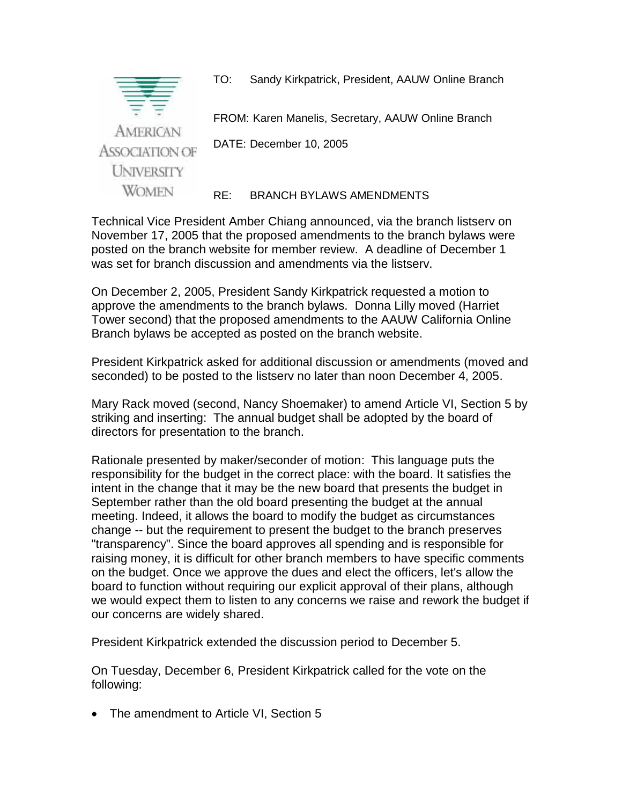

Technical Vice President Amber Chiang announced, via the branch listserv on November 17, 2005 that the proposed amendments to the branch bylaws were posted on the branch website for member review. A deadline of December 1 was set for branch discussion and amendments via the listserv.

On December 2, 2005, President Sandy Kirkpatrick requested a motion to approve the amendments to the branch bylaws. Donna Lilly moved (Harriet Tower second) that the proposed amendments to the AAUW California Online Branch bylaws be accepted as posted on the branch website.

President Kirkpatrick asked for additional discussion or amendments (moved and seconded) to be posted to the listserv no later than noon December 4, 2005.

Mary Rack moved (second, Nancy Shoemaker) to amend Article VI, Section 5 by striking and inserting: The annual budget shall be adopted by the board of directors for presentation to the branch.

Rationale presented by maker/seconder of motion: This language puts the responsibility for the budget in the correct place: with the board. It satisfies the intent in the change that it may be the new board that presents the budget in September rather than the old board presenting the budget at the annual meeting. Indeed, it allows the board to modify the budget as circumstances change -- but the requirement to present the budget to the branch preserves "transparency". Since the board approves all spending and is responsible for raising money, it is difficult for other branch members to have specific comments on the budget. Once we approve the dues and elect the officers, let's allow the board to function without requiring our explicit approval of their plans, although we would expect them to listen to any concerns we raise and rework the budget if our concerns are widely shared.

President Kirkpatrick extended the discussion period to December 5.

On Tuesday, December 6, President Kirkpatrick called for the vote on the following:

• The amendment to Article VI, Section 5